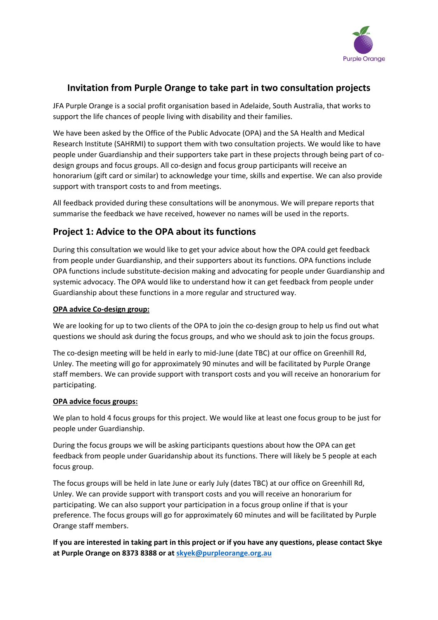

# **Invitation from Purple Orange to take part in two consultation projects**

JFA Purple Orange is a social profit organisation based in Adelaide, South Australia, that works to support the life chances of people living with disability and their families.

We have been asked by the Office of the Public Advocate (OPA) and the SA Health and Medical Research Institute (SAHRMI) to support them with two consultation projects. We would like to have people under Guardianship and their supporters take part in these projects through being part of codesign groups and focus groups. All co-design and focus group participants will receive an honorarium (gift card or similar) to acknowledge your time, skills and expertise. We can also provide support with transport costs to and from meetings.

All feedback provided during these consultations will be anonymous. We will prepare reports that summarise the feedback we have received, however no names will be used in the reports.

# **Project 1: Advice to the OPA about its functions**

During this consultation we would like to get your advice about how the OPA could get feedback from people under Guardianship, and their supporters about its functions. OPA functions include OPA functions include substitute-decision making and advocating for people under Guardianship and systemic advocacy. The OPA would like to understand how it can get feedback from people under Guardianship about these functions in a more regular and structured way.

## **OPA advice Co-design group:**

We are looking for up to two clients of the OPA to join the co-design group to help us find out what questions we should ask during the focus groups, and who we should ask to join the focus groups.

The co-design meeting will be held in early to mid-June (date TBC) at our office on Greenhill Rd, Unley. The meeting will go for approximately 90 minutes and will be facilitated by Purple Orange staff members. We can provide support with transport costs and you will receive an honorarium for participating.

#### **OPA advice focus groups:**

We plan to hold 4 focus groups for this project. We would like at least one focus group to be just for people under Guardianship.

During the focus groups we will be asking participants questions about how the OPA can get feedback from people under Guaridanship about its functions. There will likely be 5 people at each focus group.

The focus groups will be held in late June or early July (dates TBC) at our office on Greenhill Rd, Unley. We can provide support with transport costs and you will receive an honorarium for participating. We can also support your participation in a focus group online if that is your preference. The focus groups will go for approximately 60 minutes and will be facilitated by Purple Orange staff members.

**If you are interested in taking part in this project or if you have any questions, please contact Skye at Purple Orange on 8373 8388 or at [skyek@purpleorange.org.au](mailto:skyek@purpleorange.org.au)**